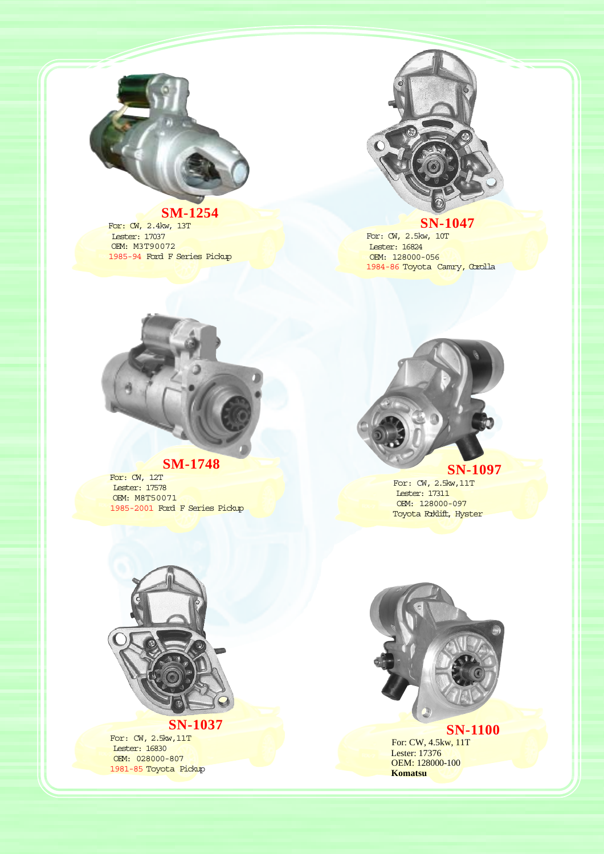

**SM-1254** For: CW, 2.4kw, 13T Lester: 17037 OEM: M3T90072 1985-94 Ford F Series Pickup



## **SN-1047**

For: CW, 2.5kw, 10T Lester: 16824 OEM: 128000-056 1984-86 Toyota Camry, Corolla



# **SM-1748 For:** CW, 12T

 Lester: 17578 OEM: M8T50071 1985-2001 Ford F Series Pickup

**SN-1097 For: CW, 2.5kw,11T** 

 Lester: 17311 OEM: 128000-097 Toyota Roklift, Hyster



**SN-1037** For: CW, 2.5kw, 11T Lester: 16830 OEM: 028000-807 1981-85 Toyota Pickup



**SN-1100** For: CW, 4.5kw, 11T Lester: 17376 OEM: 128000-100  **Komatsu**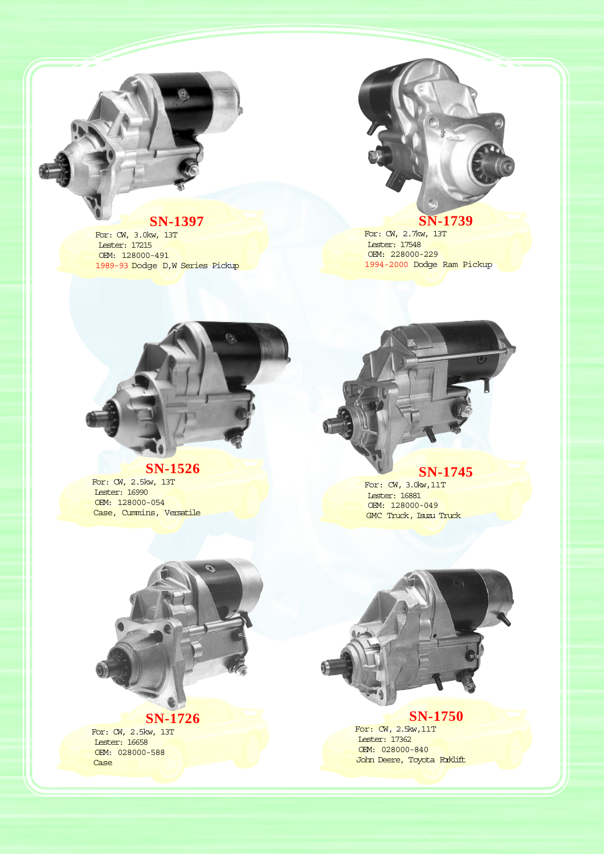

**SN-1397 For: CW, 3.0kw, 13T**  Lester: 17215 OEM: 128000-491 1989-93 Dodge D,W Series Pickup



**SN-1739 For: CW, 2.7kw, 13T**  Lester: 17548 OEM: 228000-229 1994-2000 Dodge Ram Pickup



## **SN-1526**

For: CW, 2.5kw, 13T Lester: 16990 OEM: 128000-054 Case, Cummins, Versatile

# **SN-1745 For:** CW, 3.0kw,11T

 Lester: 16881 OEM: 128000-049 GMC Truck, Isuzu Truck



## **SN-1726**

For: CW, 2.5kw, 13T Lester: 16658 OEM: 028000-588 Case



## **SN-1750** For: CW, 2.5kw,11T

 Lester: 17362 OEM: 028000-840 John Deere, Toyota Forklift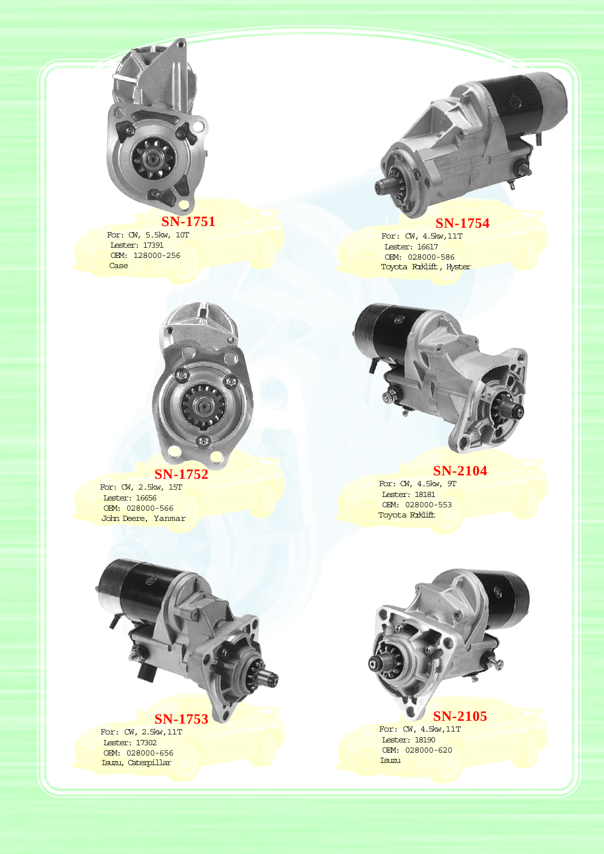

# **SN-1751** For: CW, 5.5kw, 10T

 Lester: 17391 OEM: 128000-256 Case



**SN-1752** For: CW, 2.5kw, 15T Lester: 16656 OEM: 028000-566 John Deere, Yanmar



 Lester: 16617 OEM: 028000-586 Toyota Roklift, Hyster



## **SN-2104**

For: CW, 4.5kw, 9T Lester: 18181 OEM: 028000-553 Toyota **Roklift** 



For: CW, 4.5kw,11T Lester: 18190 OEM: 028000-620 Isuzu

# **SN-1753**

For: CW, 2.5kw,11T Lester: 17302 OEM: 028000-656 Isuzu, Caterpillar